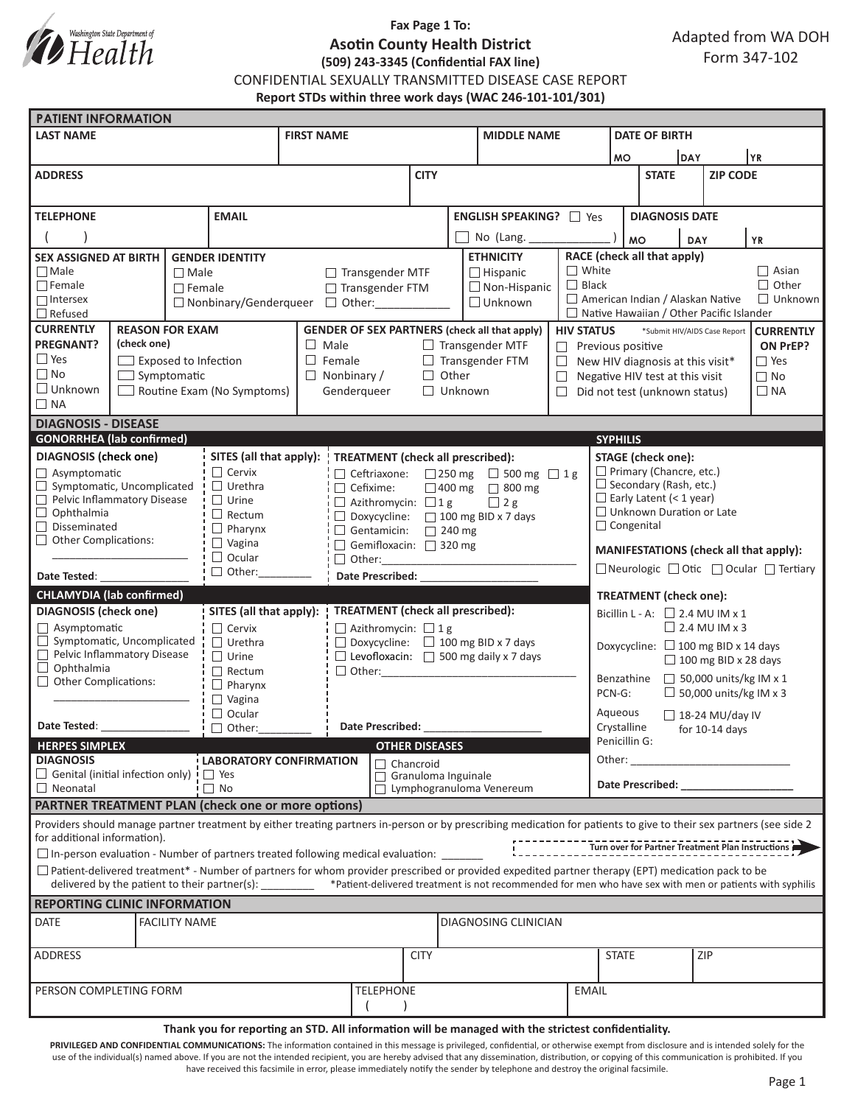

## **Fax Page 1 To: Asotin County Health District (509) 243-3345 (Confidential FAX line)**

CONFIDENTIAL SEXUALLY TRANSMITTED DISEASE CASE REPORT

**Report STDs within three work days (WAC 246-101-101/301)**

|                                                                                                                                                                                                                                                 | <b>PATIENT INFORMATION</b>  |                      |                                             |                                                                           |                                                |                                                                                                 |                                 |                                                   |                                                                                                                                                               |                                                           |                                                                                                                                                                                                                                |                                          |  |                 |                              |  |
|-------------------------------------------------------------------------------------------------------------------------------------------------------------------------------------------------------------------------------------------------|-----------------------------|----------------------|---------------------------------------------|---------------------------------------------------------------------------|------------------------------------------------|-------------------------------------------------------------------------------------------------|---------------------------------|---------------------------------------------------|---------------------------------------------------------------------------------------------------------------------------------------------------------------|-----------------------------------------------------------|--------------------------------------------------------------------------------------------------------------------------------------------------------------------------------------------------------------------------------|------------------------------------------|--|-----------------|------------------------------|--|
| <b>LAST NAME</b>                                                                                                                                                                                                                                |                             |                      |                                             | <b>FIRST NAME</b>                                                         |                                                |                                                                                                 |                                 |                                                   | <b>MIDDLE NAME</b>                                                                                                                                            |                                                           |                                                                                                                                                                                                                                | <b>DATE OF BIRTH</b>                     |  |                 |                              |  |
|                                                                                                                                                                                                                                                 |                             |                      |                                             |                                                                           |                                                |                                                                                                 |                                 |                                                   |                                                                                                                                                               |                                                           | YR)<br>DAY<br><b>MO</b>                                                                                                                                                                                                        |                                          |  |                 |                              |  |
| <b>ADDRESS</b>                                                                                                                                                                                                                                  |                             |                      |                                             |                                                                           |                                                |                                                                                                 | <b>CITY</b>                     |                                                   |                                                                                                                                                               |                                                           |                                                                                                                                                                                                                                | <b>STATE</b>                             |  | <b>ZIP CODE</b> |                              |  |
|                                                                                                                                                                                                                                                 |                             |                      |                                             |                                                                           |                                                |                                                                                                 |                                 |                                                   |                                                                                                                                                               |                                                           |                                                                                                                                                                                                                                |                                          |  |                 |                              |  |
| <b>TELEPHONE</b><br><b>EMAIL</b>                                                                                                                                                                                                                |                             |                      |                                             |                                                                           |                                                |                                                                                                 |                                 | ENGLISH SPEAKING? 7 Yes                           |                                                                                                                                                               |                                                           | <b>DIAGNOSIS DATE</b>                                                                                                                                                                                                          |                                          |  |                 |                              |  |
|                                                                                                                                                                                                                                                 |                             |                      |                                             |                                                                           |                                                |                                                                                                 |                                 |                                                   |                                                                                                                                                               |                                                           |                                                                                                                                                                                                                                |                                          |  |                 |                              |  |
|                                                                                                                                                                                                                                                 |                             |                      |                                             |                                                                           |                                                |                                                                                                 | No (Lang.                       |                                                   |                                                                                                                                                               | <b>MO</b><br><b>YR</b><br>DAY                             |                                                                                                                                                                                                                                |                                          |  |                 |                              |  |
| <b>SEX ASSIGNED AT BIRTH</b><br><b>GENDER IDENTITY</b>                                                                                                                                                                                          |                             |                      |                                             |                                                                           |                                                |                                                                                                 |                                 |                                                   | <b>ETHNICITY</b>                                                                                                                                              |                                                           |                                                                                                                                                                                                                                | RACE (check all that apply)              |  |                 |                              |  |
| $\Box$ Male                                                                                                                                                                                                                                     |                             | $\Box$ Male          |                                             |                                                                           | $\Box$ Transgender MTF                         |                                                                                                 |                                 |                                                   | $\Box$ Hispanic                                                                                                                                               | $\Box$ White<br>$\Box$ Black                              |                                                                                                                                                                                                                                |                                          |  |                 | $\Box$ Asian<br>$\Box$ Other |  |
| $\Box$ Female<br>$\Box$ Female<br>$\Box$ Intersex                                                                                                                                                                                               |                             |                      |                                             | □ Transgender FTM                                                         |                                                |                                                                                                 |                                 | $\Box$ Non-Hispanic<br>$\Box$ Unknown             |                                                                                                                                                               |                                                           | American Indian / Alaskan Native<br>$\Box$ Unknown                                                                                                                                                                             |                                          |  |                 |                              |  |
| $\Box$ Refused                                                                                                                                                                                                                                  |                             |                      | □ Nonbinary/Genderqueer                     |                                                                           |                                                |                                                                                                 |                                 |                                                   |                                                                                                                                                               |                                                           | $\Box$ Native Hawaiian / Other Pacific Islander                                                                                                                                                                                |                                          |  |                 |                              |  |
| <b>CURRENTLY</b><br><b>REASON FOR EXAM</b>                                                                                                                                                                                                      |                             |                      |                                             | <b>GENDER OF SEX PARTNERS (check all that apply)</b><br><b>HIV STATUS</b> |                                                |                                                                                                 |                                 |                                                   |                                                                                                                                                               |                                                           | *Submit HIV/AIDS Case Report<br><b>CURRENTLY</b>                                                                                                                                                                               |                                          |  |                 |                              |  |
| <b>PREGNANT?</b>                                                                                                                                                                                                                                | (check one)                 |                      |                                             |                                                                           | $\Box$ Male<br>$\Box$ Transgender MTF          |                                                                                                 |                                 |                                                   |                                                                                                                                                               |                                                           | ON PrEP?<br>$\Box$ Previous positive                                                                                                                                                                                           |                                          |  |                 |                              |  |
| $\Box$ Yes                                                                                                                                                                                                                                      | $\Box$ Exposed to Infection |                      |                                             |                                                                           | $\Box$ Female<br>$\Box$ Transgender FTM        |                                                                                                 |                                 |                                                   |                                                                                                                                                               |                                                           | $\Box$ New HIV diagnosis at this visit*<br>$\square$ Yes                                                                                                                                                                       |                                          |  |                 |                              |  |
| $\Box$ No                                                                                                                                                                                                                                       | $\Box$ Symptomatic          |                      |                                             |                                                                           | $\Box$ Other<br>$\Box$ Nonbinary /             |                                                                                                 |                                 |                                                   |                                                                                                                                                               | $\Box$                                                    | $\Box$ No<br>Negative HIV test at this visit                                                                                                                                                                                   |                                          |  |                 |                              |  |
| $\Box$ Unknown<br>$\Box$ Routine Exam (No Symptoms)                                                                                                                                                                                             |                             |                      | Genderqueer                                 |                                                                           |                                                | $\Box$ Unknown                                                                                  |                                 |                                                   |                                                                                                                                                               | $\Box$ Did not test (unknown status)<br>$\Box$ NA         |                                                                                                                                                                                                                                |                                          |  |                 |                              |  |
| $\Box$ NA                                                                                                                                                                                                                                       |                             |                      |                                             |                                                                           |                                                |                                                                                                 |                                 |                                                   |                                                                                                                                                               |                                                           |                                                                                                                                                                                                                                |                                          |  |                 |                              |  |
| <b>DIAGNOSIS - DISEASE</b>                                                                                                                                                                                                                      |                             |                      |                                             |                                                                           |                                                |                                                                                                 |                                 |                                                   |                                                                                                                                                               |                                                           |                                                                                                                                                                                                                                |                                          |  |                 |                              |  |
| <b>GONORRHEA</b> (lab confirmed)                                                                                                                                                                                                                |                             |                      |                                             |                                                                           |                                                |                                                                                                 |                                 |                                                   |                                                                                                                                                               |                                                           | <b>SYPHILIS</b>                                                                                                                                                                                                                |                                          |  |                 |                              |  |
| <b>DIAGNOSIS (check one)</b>                                                                                                                                                                                                                    |                             |                      |                                             | SITES (all that apply):                                                   |                                                |                                                                                                 |                                 | <b>TREATMENT</b> (check all prescribed):          |                                                                                                                                                               |                                                           |                                                                                                                                                                                                                                | <b>STAGE</b> (check one):                |  |                 |                              |  |
| Asymptomatic                                                                                                                                                                                                                                    |                             |                      | $\Box$ Cervix                               |                                                                           |                                                | $\Box$ Ceftriaxone: $\Box$ 250 mg $\Box$ 500 mg $\Box$ 1 g                                      |                                 |                                                   |                                                                                                                                                               |                                                           | $\Box$ Primary (Chancre, etc.)                                                                                                                                                                                                 |                                          |  |                 |                              |  |
| Symptomatic, Uncomplicated<br>Pelvic Inflammatory Disease                                                                                                                                                                                       |                             |                      | $\Box$ Urethra<br>$\Box$ Urine              |                                                                           | $\Box$ Cefixime:                               |                                                                                                 | $\Box$ 400 mg $\Box$ 800 mg     |                                                   |                                                                                                                                                               |                                                           | $\Box$ Secondary (Rash, etc.)<br>$\Box$ Early Latent (< 1 year)                                                                                                                                                                |                                          |  |                 |                              |  |
| $\Box$ Ophthalmia                                                                                                                                                                                                                               |                             |                      | $\Box$ Rectum                               |                                                                           |                                                | $\Box$ Azithromycin: $\Box$ 1 g<br>$\Box$ 2 g<br>$\Box$ Doxycycline: $\Box$ 100 mg BID x 7 days |                                 |                                                   |                                                                                                                                                               |                                                           | $\Box$ Unknown Duration or Late                                                                                                                                                                                                |                                          |  |                 |                              |  |
| $\Box$ Disseminated                                                                                                                                                                                                                             |                             |                      | $\Box$ Pharynx<br>Gentamicin: $\Box$ 240 mg |                                                                           |                                                |                                                                                                 |                                 |                                                   |                                                                                                                                                               |                                                           | $\Box$ Congenital                                                                                                                                                                                                              |                                          |  |                 |                              |  |
| $\Box$ Other Complications:                                                                                                                                                                                                                     |                             |                      | $\Box$ Vagina                               | Gemifloxacin: 320 mg                                                      |                                                |                                                                                                 |                                 |                                                   |                                                                                                                                                               |                                                           |                                                                                                                                                                                                                                |                                          |  |                 |                              |  |
| $\Box$ Ocular                                                                                                                                                                                                                                   |                             |                      |                                             | $\Box$ Other:                                                             |                                                |                                                                                                 |                                 |                                                   |                                                                                                                                                               | MANIFESTATIONS (check all that apply):                    |                                                                                                                                                                                                                                |                                          |  |                 |                              |  |
| $\Box$ Other: $\_\_\_\_\_\_\_\$<br>Date Tested:                                                                                                                                                                                                 |                             |                      | Date Prescribed: National Prescribed:       |                                                                           |                                                |                                                                                                 |                                 |                                                   |                                                                                                                                                               | □ Neurologic □ Otic □ Ocular □ Tertiary                   |                                                                                                                                                                                                                                |                                          |  |                 |                              |  |
| <b>CHLAMYDIA (lab confirmed)</b>                                                                                                                                                                                                                |                             |                      |                                             |                                                                           |                                                |                                                                                                 |                                 |                                                   |                                                                                                                                                               |                                                           |                                                                                                                                                                                                                                | <b>TREATMENT</b> (check one):            |  |                 |                              |  |
| <b>DIAGNOSIS</b> (check one)                                                                                                                                                                                                                    |                             |                      | SITES (all that apply):                     |                                                                           |                                                | <b>TREATMENT</b> (check all prescribed):                                                        |                                 |                                                   |                                                                                                                                                               |                                                           | Bicillin L - A: $\Box$ 2.4 MU IM x 1                                                                                                                                                                                           |                                          |  |                 |                              |  |
| $\Box$ Asymptomatic                                                                                                                                                                                                                             |                             | $\Box$ Cervix        |                                             | $\Box$ Azithromycin: $\Box$ 1 g                                           |                                                |                                                                                                 |                                 |                                                   |                                                                                                                                                               | $\Box$ 2.4 MU IM x 3                                      |                                                                                                                                                                                                                                |                                          |  |                 |                              |  |
| $\Box$ Symptomatic, Uncomplicated                                                                                                                                                                                                               |                             |                      | $\Box$ Urethra                              |                                                                           | $\Box$ Doxycycline: $\Box$ 100 mg BID x 7 days |                                                                                                 |                                 |                                                   |                                                                                                                                                               |                                                           |                                                                                                                                                                                                                                | Doxycycline: $\Box$ 100 mg BID x 14 days |  |                 |                              |  |
| Pelvic Inflammatory Disease<br>$\Box$ Ophthalmia                                                                                                                                                                                                |                             |                      | $\Box$ Urine                                |                                                                           |                                                |                                                                                                 |                                 | $\Box$ Levofloxacin: $\Box$ 500 mg daily x 7 days |                                                                                                                                                               |                                                           | $\Box$ 100 mg BID x 28 days                                                                                                                                                                                                    |                                          |  |                 |                              |  |
| Other Complications:                                                                                                                                                                                                                            |                             |                      | $\Box$ Rectum<br>$\Box$ Pharynx             |                                                                           | □ Other: ____________                          |                                                                                                 |                                 |                                                   |                                                                                                                                                               |                                                           | $\Box$ 50,000 units/kg IM x 1<br>Benzathine                                                                                                                                                                                    |                                          |  |                 |                              |  |
|                                                                                                                                                                                                                                                 |                             | $\Box$ Vagina        |                                             |                                                                           |                                                |                                                                                                 |                                 |                                                   | $\Box$ 50,000 units/kg IM x 3<br>PCN-G:                                                                                                                       |                                                           |                                                                                                                                                                                                                                |                                          |  |                 |                              |  |
| $\Box$ Ocular                                                                                                                                                                                                                                   |                             |                      |                                             |                                                                           |                                                |                                                                                                 |                                 |                                                   |                                                                                                                                                               |                                                           | Aqueous                                                                                                                                                                                                                        |                                          |  |                 |                              |  |
| Date Tested: The Case of the Case of the Case of the Case of the Case of the Case of the Case of the Case of the Case of the Case of the Case of the Case of the Case of the Case of the Case of the Case of the Case of the C<br>$\Box$ Other: |                             |                      | Date Prescribed:                            |                                                                           |                                                |                                                                                                 |                                 |                                                   |                                                                                                                                                               | $\Box$ 18-24 MU/day IV<br>Crystalline<br>for $10-14$ days |                                                                                                                                                                                                                                |                                          |  |                 |                              |  |
| <b>HERPES SIMPLEX</b>                                                                                                                                                                                                                           |                             |                      |                                             |                                                                           |                                                | <b>OTHER DISEASES</b>                                                                           |                                 |                                                   |                                                                                                                                                               |                                                           | Penicillin G:                                                                                                                                                                                                                  |                                          |  |                 |                              |  |
| <b>DIAGNOSIS</b><br><b>LABORATORY CONFIRMATION</b>                                                                                                                                                                                              |                             |                      |                                             | $\Box$ Chancroid                                                          |                                                |                                                                                                 |                                 |                                                   |                                                                                                                                                               |                                                           |                                                                                                                                                                                                                                | Other:                                   |  |                 |                              |  |
| $\Box$ Genital (initial infection only) $\vdash$ $\Box$ Yes                                                                                                                                                                                     |                             |                      |                                             |                                                                           |                                                |                                                                                                 |                                 |                                                   | Granuloma Inguinale                                                                                                                                           |                                                           |                                                                                                                                                                                                                                |                                          |  |                 |                              |  |
| $\Box$ No<br>$\Box$ Neonatal                                                                                                                                                                                                                    |                             |                      |                                             |                                                                           |                                                |                                                                                                 | $\Box$ Lymphogranuloma Venereum |                                                   |                                                                                                                                                               |                                                           | Date Prescribed: Note that the present of the state of the state of the state of the state of the state of the state of the state of the state of the state of the state of the state of the state of the state of the state o |                                          |  |                 |                              |  |
| <b>PARTNER TREATMENT PLAN (check one or more options)</b>                                                                                                                                                                                       |                             |                      |                                             |                                                                           |                                                |                                                                                                 |                                 |                                                   |                                                                                                                                                               |                                                           |                                                                                                                                                                                                                                |                                          |  |                 |                              |  |
| Providers should manage partner treatment by either treating partners in-person or by prescribing medication for patients to give to their sex partners (see side 2<br>for additional information).                                             |                             |                      |                                             |                                                                           |                                                |                                                                                                 |                                 |                                                   |                                                                                                                                                               |                                                           |                                                                                                                                                                                                                                |                                          |  |                 |                              |  |
| $\square$ In-person evaluation - Number of partners treated following medical evaluation: $\_{\_$                                                                                                                                               |                             |                      |                                             |                                                                           |                                                |                                                                                                 |                                 |                                                   |                                                                                                                                                               |                                                           |                                                                                                                                                                                                                                |                                          |  |                 |                              |  |
| $\Box$ Patient-delivered treatment* - Number of partners for whom provider prescribed or provided expedited partner therapy (EPT) medication pack to be                                                                                         |                             |                      |                                             |                                                                           |                                                |                                                                                                 |                                 |                                                   | delivered by the patient to their partner(s): _______ *Patient-delivered treatment is not recommended for men who have sex with men or patients with syphilis |                                                           |                                                                                                                                                                                                                                |                                          |  |                 |                              |  |
| <b>REPORTING CLINIC INFORMATION</b>                                                                                                                                                                                                             |                             |                      |                                             |                                                                           |                                                |                                                                                                 |                                 |                                                   |                                                                                                                                                               |                                                           |                                                                                                                                                                                                                                |                                          |  |                 |                              |  |
|                                                                                                                                                                                                                                                 |                             |                      |                                             |                                                                           |                                                |                                                                                                 |                                 |                                                   |                                                                                                                                                               |                                                           |                                                                                                                                                                                                                                |                                          |  |                 |                              |  |
| <b>DATE</b>                                                                                                                                                                                                                                     |                             | <b>FACILITY NAME</b> |                                             |                                                                           |                                                |                                                                                                 |                                 | DIAGNOSING CLINICIAN                              |                                                                                                                                                               |                                                           |                                                                                                                                                                                                                                |                                          |  |                 |                              |  |
| ADDRESS                                                                                                                                                                                                                                         |                             |                      |                                             |                                                                           |                                                |                                                                                                 | <b>CITY</b>                     |                                                   |                                                                                                                                                               |                                                           | <b>STATE</b>                                                                                                                                                                                                                   |                                          |  | ZIP             |                              |  |
|                                                                                                                                                                                                                                                 |                             |                      |                                             |                                                                           |                                                |                                                                                                 |                                 |                                                   |                                                                                                                                                               |                                                           |                                                                                                                                                                                                                                |                                          |  |                 |                              |  |
|                                                                                                                                                                                                                                                 |                             |                      |                                             |                                                                           |                                                |                                                                                                 |                                 |                                                   |                                                                                                                                                               |                                                           |                                                                                                                                                                                                                                |                                          |  |                 |                              |  |
|                                                                                                                                                                                                                                                 |                             |                      |                                             |                                                                           |                                                |                                                                                                 |                                 |                                                   |                                                                                                                                                               |                                                           |                                                                                                                                                                                                                                |                                          |  |                 |                              |  |
| <b>TELEPHONE</b><br>PERSON COMPLETING FORM<br><b>EMAIL</b>                                                                                                                                                                                      |                             |                      |                                             |                                                                           |                                                |                                                                                                 |                                 |                                                   |                                                                                                                                                               |                                                           |                                                                                                                                                                                                                                |                                          |  |                 |                              |  |

**Thank you for reporting an STD. All information will be managed with the strictest confidentiality.** 

PRIVILEGED AND CONFIDENTIAL COMMUNICATIONS: The information contained in this message is privileged, confidential, or otherwise exempt from disclosure and is intended solely for the use of the individual(s) named above. If you are not the intended recipient, you are hereby advised that any dissemination, distribution, or copying of this communication is prohibited. If you have received this facsimile in error, please immediately notify the sender by telephone and destroy the original facsimile.